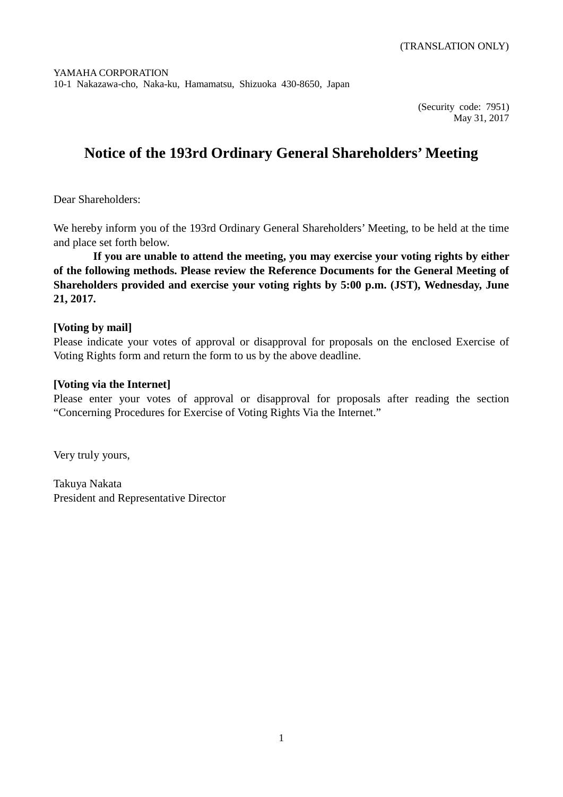(Security code: 7951) May 31, 2017

# **Notice of the 193rd Ordinary General Shareholders' Meeting**

Dear Shareholders:

We hereby inform you of the 193rd Ordinary General Shareholders' Meeting, to be held at the time and place set forth below.

**If you are unable to attend the meeting, you may exercise your voting rights by either of the following methods. Please review the Reference Documents for the General Meeting of Shareholders provided and exercise your voting rights by 5:00 p.m. (JST), Wednesday, June 21, 2017.**

## **[Voting by mail]**

Please indicate your votes of approval or disapproval for proposals on the enclosed Exercise of Voting Rights form and return the form to us by the above deadline.

## **[Voting via the Internet]**

Please enter your votes of approval or disapproval for proposals after reading the section "Concerning Procedures for Exercise of Voting Rights Via the Internet."

Very truly yours,

Takuya Nakata President and Representative Director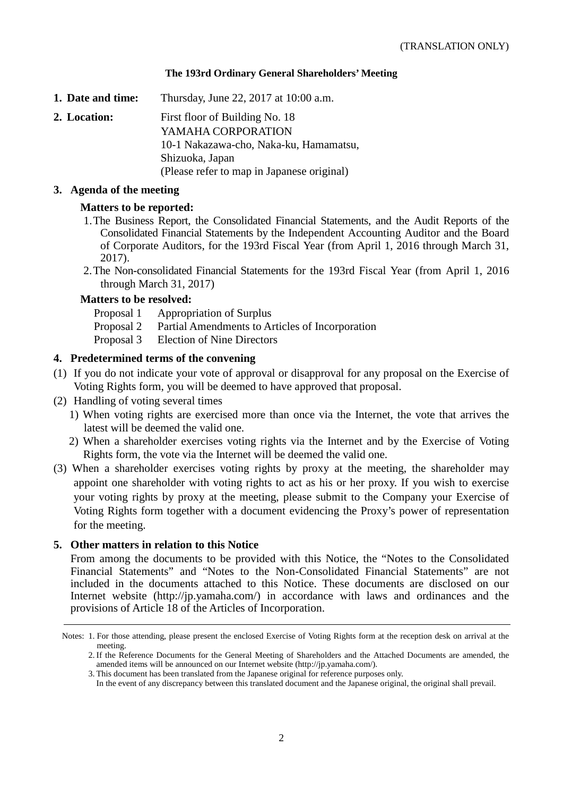### **The 193rd Ordinary General Shareholders' Meeting**

- **1. Date and time:** Thursday, June 22, 2017 at 10:00 a.m.
- **2. Location:** First floor of Building No. 18 YAMAHA CORPORATION 10-1 Nakazawa-cho, Naka-ku, Hamamatsu, Shizuoka, Japan (Please refer to map in Japanese original)

### **3. Agenda of the meeting**

## **Matters to be reported:**

- 1.The Business Report, the Consolidated Financial Statements, and the Audit Reports of the Consolidated Financial Statements by the Independent Accounting Auditor and the Board of Corporate Auditors, for the 193rd Fiscal Year (from April 1, 2016 through March 31, 2017).
- 2.The Non-consolidated Financial Statements for the 193rd Fiscal Year (from April 1, 2016 through March 31, 2017)

### **Matters to be resolved:**

- Proposal 1 Appropriation of Surplus
- Proposal 2 Partial Amendments to Articles of Incorporation
- Proposal 3 Election of Nine Directors

### **4. Predetermined terms of the convening**

- (1) If you do not indicate your vote of approval or disapproval for any proposal on the Exercise of Voting Rights form, you will be deemed to have approved that proposal.
- (2) Handling of voting several times
	- 1) When voting rights are exercised more than once via the Internet, the vote that arrives the latest will be deemed the valid one.
	- 2) When a shareholder exercises voting rights via the Internet and by the Exercise of Voting Rights form, the vote via the Internet will be deemed the valid one.
- (3) When a shareholder exercises voting rights by proxy at the meeting, the shareholder may appoint one shareholder with voting rights to act as his or her proxy. If you wish to exercise your voting rights by proxy at the meeting, please submit to the Company your Exercise of Voting Rights form together with a document evidencing the Proxy's power of representation for the meeting.

### **5. Other matters in relation to this Notice**

From among the documents to be provided with this Notice, the "Notes to the Consolidated Financial Statements" and "Notes to the Non-Consolidated Financial Statements" are not included in the documents attached to this Notice. These documents are disclosed on our Internet website (http://jp.yamaha.com/) in accordance with laws and ordinances and the provisions of Article 18 of the Articles of Incorporation.

Notes: 1. For those attending, please present the enclosed Exercise of Voting Rights form at the reception desk on arrival at the meeting.

<sup>2.</sup> If the Reference Documents for the General Meeting of Shareholders and the Attached Documents are amended, the amended items will be announced on our Internet website (http://jp.yamaha.com/).

<sup>3.</sup> This document has been translated from the Japanese original for reference purposes only.

In the event of any discrepancy between this translated document and the Japanese original, the original shall prevail.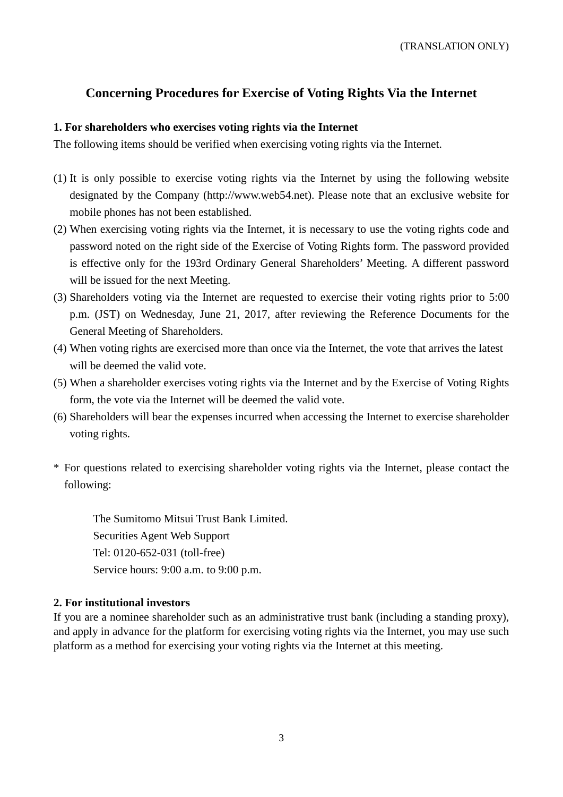## **Concerning Procedures for Exercise of Voting Rights Via the Internet**

## **1. For shareholders who exercises voting rights via the Internet**

The following items should be verified when exercising voting rights via the Internet.

- (1) It is only possible to exercise voting rights via the Internet by using the following website designated by the Company (http://www.web54.net). Please note that an exclusive website for mobile phones has not been established.
- (2) When exercising voting rights via the Internet, it is necessary to use the voting rights code and password noted on the right side of the Exercise of Voting Rights form. The password provided is effective only for the 193rd Ordinary General Shareholders' Meeting. A different password will be issued for the next Meeting.
- (3) Shareholders voting via the Internet are requested to exercise their voting rights prior to 5:00 p.m. (JST) on Wednesday, June 21, 2017, after reviewing the Reference Documents for the General Meeting of Shareholders.
- (4) When voting rights are exercised more than once via the Internet, the vote that arrives the latest will be deemed the valid vote.
- (5) When a shareholder exercises voting rights via the Internet and by the Exercise of Voting Rights form, the vote via the Internet will be deemed the valid vote.
- (6) Shareholders will bear the expenses incurred when accessing the Internet to exercise shareholder voting rights.
- \* For questions related to exercising shareholder voting rights via the Internet, please contact the following:

The Sumitomo Mitsui Trust Bank Limited. Securities Agent Web Support Tel: 0120-652-031 (toll-free) Service hours: 9:00 a.m. to 9:00 p.m.

## **2. For institutional investors**

If you are a nominee shareholder such as an administrative trust bank (including a standing proxy), and apply in advance for the platform for exercising voting rights via the Internet, you may use such platform as a method for exercising your voting rights via the Internet at this meeting.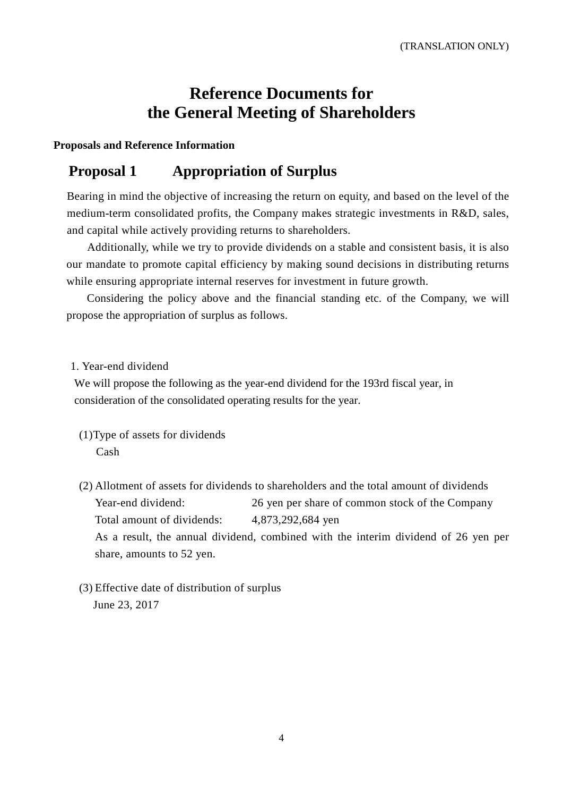# **Reference Documents for the General Meeting of Shareholders**

## **Proposals and Reference Information**

## **Proposal 1 Appropriation of Surplus**

Bearing in mind the objective of increasing the return on equity, and based on the level of the medium-term consolidated profits, the Company makes strategic investments in R&D, sales, and capital while actively providing returns to shareholders.

Additionally, while we try to provide dividends on a stable and consistent basis, it is also our mandate to promote capital efficiency by making sound decisions in distributing returns while ensuring appropriate internal reserves for investment in future growth.

Considering the policy above and the financial standing etc. of the Company, we will propose the appropriation of surplus as follows.

## 1. Year-end dividend

We will propose the following as the year-end dividend for the 193rd fiscal year, in consideration of the consolidated operating results for the year.

- (1)Type of assets for dividends Cash
- (2) Allotment of assets for dividends to shareholders and the total amount of dividends Year-end dividend: 26 yen per share of common stock of the Company Total amount of dividends: 4,873,292,684 yen As a result, the annual dividend, combined with the interim dividend of 26 yen per share, amounts to 52 yen.
- (3) Effective date of distribution of surplus June 23, 2017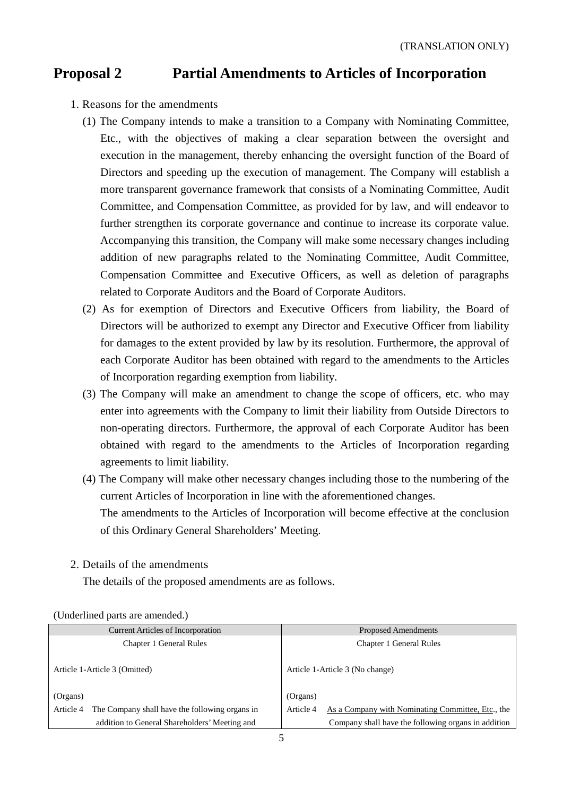## **Proposal 2 Partial Amendments to Articles of Incorporation**

- 1. Reasons for the amendments
	- (1) The Company intends to make a transition to a Company with Nominating Committee, Etc., with the objectives of making a clear separation between the oversight and execution in the management, thereby enhancing the oversight function of the Board of Directors and speeding up the execution of management. The Company will establish a more transparent governance framework that consists of a Nominating Committee, Audit Committee, and Compensation Committee, as provided for by law, and will endeavor to further strengthen its corporate governance and continue to increase its corporate value. Accompanying this transition, the Company will make some necessary changes including addition of new paragraphs related to the Nominating Committee, Audit Committee, Compensation Committee and Executive Officers, as well as deletion of paragraphs related to Corporate Auditors and the Board of Corporate Auditors.
	- (2) As for exemption of Directors and Executive Officers from liability, the Board of Directors will be authorized to exempt any Director and Executive Officer from liability for damages to the extent provided by law by its resolution. Furthermore, the approval of each Corporate Auditor has been obtained with regard to the amendments to the Articles of Incorporation regarding exemption from liability.
	- (3) The Company will make an amendment to change the scope of officers, etc. who may enter into agreements with the Company to limit their liability from Outside Directors to non-operating directors. Furthermore, the approval of each Corporate Auditor has been obtained with regard to the amendments to the Articles of Incorporation regarding agreements to limit liability.
	- (4) The Company will make other necessary changes including those to the numbering of the current Articles of Incorporation in line with the aforementioned changes.

The amendments to the Articles of Incorporation will become effective at the conclusion of this Ordinary General Shareholders' Meeting.

2. Details of the amendments

The details of the proposed amendments are as follows.

| <b>Current Articles of Incorporation</b>                    | Proposed Amendments                                            |  |  |
|-------------------------------------------------------------|----------------------------------------------------------------|--|--|
| Chapter 1 General Rules                                     | Chapter 1 General Rules                                        |  |  |
| Article 1-Article 3 (Omitted)                               | Article 1-Article 3 (No change)                                |  |  |
| (Organs)                                                    | (Organs)                                                       |  |  |
| The Company shall have the following organs in<br>Article 4 | As a Company with Nominating Committee, Etc., the<br>Article 4 |  |  |
| addition to General Shareholders' Meeting and               | Company shall have the following organs in addition            |  |  |

(Underlined parts are amended.)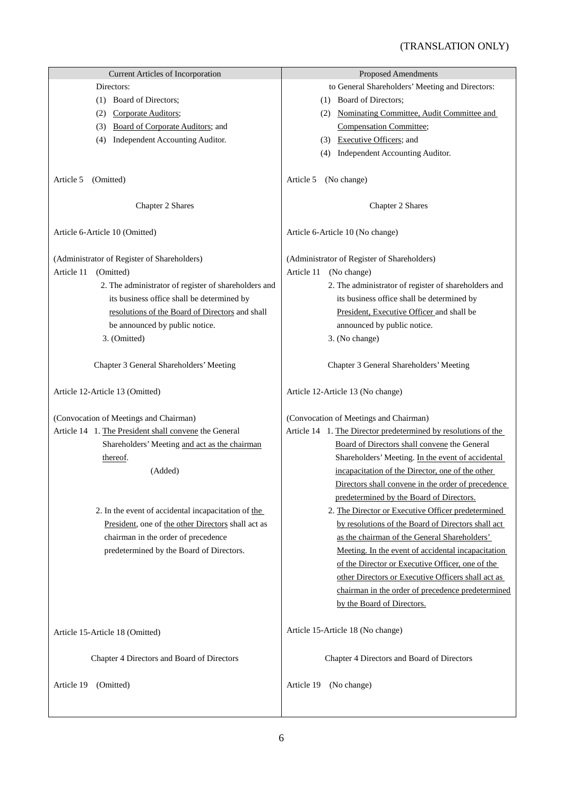| <b>Current Articles of Incorporation</b>              | <b>Proposed Amendments</b>                                     |  |  |
|-------------------------------------------------------|----------------------------------------------------------------|--|--|
| Directors:                                            | to General Shareholders' Meeting and Directors:                |  |  |
| (1) Board of Directors;                               | (1) Board of Directors;                                        |  |  |
| Corporate Auditors;<br>(2)                            | (2) Nominating Committee, Audit Committee and                  |  |  |
| Board of Corporate Auditors; and<br>(3)               | Compensation Committee;                                        |  |  |
| Independent Accounting Auditor.<br>(4)                | (3) Executive Officers; and                                    |  |  |
|                                                       | (4) Independent Accounting Auditor.                            |  |  |
| Article 5<br>(Omitted)                                | (No change)<br>Article 5                                       |  |  |
| Chapter 2 Shares                                      | Chapter 2 Shares                                               |  |  |
| Article 6-Article 10 (Omitted)                        | Article 6-Article 10 (No change)                               |  |  |
| (Administrator of Register of Shareholders)           | (Administrator of Register of Shareholders)                    |  |  |
| Article 11<br>(Omitted)                               | Article 11<br>(No change)                                      |  |  |
| 2. The administrator of register of shareholders and  | 2. The administrator of register of shareholders and           |  |  |
| its business office shall be determined by            | its business office shall be determined by                     |  |  |
|                                                       |                                                                |  |  |
| resolutions of the Board of Directors and shall       | President, Executive Officer and shall be                      |  |  |
| be announced by public notice.                        | announced by public notice.                                    |  |  |
| 3. (Omitted)                                          | 3. (No change)                                                 |  |  |
| Chapter 3 General Shareholders' Meeting               | Chapter 3 General Shareholders' Meeting                        |  |  |
| Article 12-Article 13 (Omitted)                       | Article 12-Article 13 (No change)                              |  |  |
| (Convocation of Meetings and Chairman)                | (Convocation of Meetings and Chairman)                         |  |  |
| Article 14 1. The President shall convene the General | Article 14 1. The Director predetermined by resolutions of the |  |  |
| Shareholders' Meeting and act as the chairman         | Board of Directors shall convene the General                   |  |  |
| thereof.                                              | Shareholders' Meeting. In the event of accidental              |  |  |
| (Added)                                               | incapacitation of the Director, one of the other               |  |  |
|                                                       | Directors shall convene in the order of precedence             |  |  |
|                                                       | predetermined by the Board of Directors.                       |  |  |
| 2. In the event of accidental incapacitation of the   | 2. The Director or Executive Officer predetermined             |  |  |
|                                                       |                                                                |  |  |
| President, one of the other Directors shall act as    | by resolutions of the Board of Directors shall act             |  |  |
| chairman in the order of precedence                   | as the chairman of the General Shareholders'                   |  |  |
| predetermined by the Board of Directors.              | Meeting. In the event of accidental incapacitation             |  |  |
|                                                       | of the Director or Executive Officer, one of the               |  |  |
|                                                       | other Directors or Executive Officers shall act as             |  |  |
|                                                       | chairman in the order of precedence predetermined              |  |  |
|                                                       | by the Board of Directors.                                     |  |  |
| Article 15-Article 18 (Omitted)                       | Article 15-Article 18 (No change)                              |  |  |
| Chapter 4 Directors and Board of Directors            | Chapter 4 Directors and Board of Directors                     |  |  |
| Article 19<br>(Omitted)                               | (No change)<br>Article 19                                      |  |  |
|                                                       |                                                                |  |  |
|                                                       |                                                                |  |  |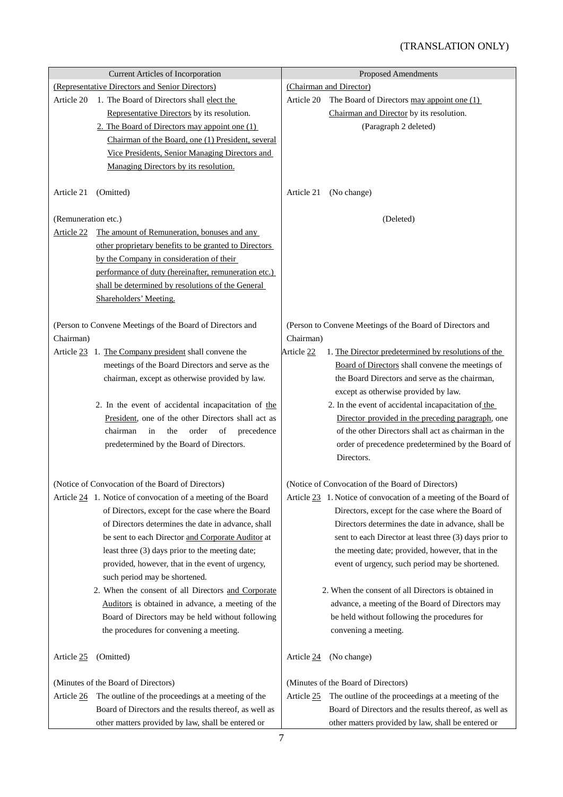|                     | <b>Current Articles of Incorporation</b>                      | <b>Proposed Amendments</b> |                                                                  |  |
|---------------------|---------------------------------------------------------------|----------------------------|------------------------------------------------------------------|--|
|                     | (Representative Directors and Senior Directors)               | (Chairman and Director)    |                                                                  |  |
| Article 20          | 1. The Board of Directors shall elect the                     | Article 20                 | The Board of Directors may appoint one (1)                       |  |
|                     | Representative Directors by its resolution.                   |                            | Chairman and Director by its resolution.                         |  |
|                     | 2. The Board of Directors may appoint one $(1)$               |                            | (Paragraph 2 deleted)                                            |  |
|                     | Chairman of the Board, one (1) President, several             |                            |                                                                  |  |
|                     | Vice Presidents, Senior Managing Directors and                |                            |                                                                  |  |
|                     | Managing Directors by its resolution.                         |                            |                                                                  |  |
|                     |                                                               |                            |                                                                  |  |
| Article 21          | (Omitted)                                                     | Article 21                 | (No change)                                                      |  |
| (Remuneration etc.) |                                                               |                            | (Deleted)                                                        |  |
| Article 22          | The amount of Remuneration, bonuses and any                   |                            |                                                                  |  |
|                     | other proprietary benefits to be granted to Directors         |                            |                                                                  |  |
|                     | by the Company in consideration of their                      |                            |                                                                  |  |
|                     | performance of duty (hereinafter, remuneration etc.)          |                            |                                                                  |  |
|                     | shall be determined by resolutions of the General             |                            |                                                                  |  |
|                     | Shareholders' Meeting.                                        |                            |                                                                  |  |
|                     |                                                               |                            |                                                                  |  |
|                     | (Person to Convene Meetings of the Board of Directors and     |                            | (Person to Convene Meetings of the Board of Directors and        |  |
| Chairman)           |                                                               | Chairman)                  |                                                                  |  |
|                     | Article 23 1. The Company president shall convene the         | Article 22                 | 1. The Director predetermined by resolutions of the              |  |
|                     | meetings of the Board Directors and serve as the              |                            | Board of Directors shall convene the meetings of                 |  |
|                     | chairman, except as otherwise provided by law.                |                            | the Board Directors and serve as the chairman,                   |  |
|                     |                                                               |                            | except as otherwise provided by law.                             |  |
|                     | 2. In the event of accidental incapacitation of the           |                            | 2. In the event of accidental incapacitation of the              |  |
|                     | President, one of the other Directors shall act as            |                            | Director provided in the preceding paragraph, one                |  |
|                     | chairman<br>the<br>order<br>precedence<br>in<br>of            |                            | of the other Directors shall act as chairman in the              |  |
|                     | predetermined by the Board of Directors.                      |                            | order of precedence predetermined by the Board of                |  |
|                     |                                                               |                            | Directors.                                                       |  |
|                     |                                                               |                            |                                                                  |  |
|                     | (Notice of Convocation of the Board of Directors)             |                            | (Notice of Convocation of the Board of Directors)                |  |
|                     | Article 24 1. Notice of convocation of a meeting of the Board |                            | Article 23 1. Notice of convocation of a meeting of the Board of |  |
|                     | of Directors, except for the case where the Board             |                            | Directors, except for the case where the Board of                |  |
|                     | of Directors determines the date in advance, shall            |                            | Directors determines the date in advance, shall be               |  |
|                     | be sent to each Director and Corporate Auditor at             |                            | sent to each Director at least three (3) days prior to           |  |
|                     | least three (3) days prior to the meeting date;               |                            | the meeting date; provided, however, that in the                 |  |
|                     | provided, however, that in the event of urgency,              |                            | event of urgency, such period may be shortened.                  |  |
|                     | such period may be shortened.                                 |                            |                                                                  |  |
|                     | 2. When the consent of all Directors and Corporate            |                            | 2. When the consent of all Directors is obtained in              |  |
|                     | Auditors is obtained in advance, a meeting of the             |                            | advance, a meeting of the Board of Directors may                 |  |
|                     | Board of Directors may be held without following              |                            | be held without following the procedures for                     |  |
|                     | the procedures for convening a meeting.                       |                            | convening a meeting.                                             |  |
|                     |                                                               |                            |                                                                  |  |
| Article 25          | (Omitted)                                                     | Article 24                 | (No change)                                                      |  |
|                     | (Minutes of the Board of Directors)                           |                            | (Minutes of the Board of Directors)                              |  |
| Article 26          | The outline of the proceedings at a meeting of the            | Article 25                 | The outline of the proceedings at a meeting of the               |  |
|                     | Board of Directors and the results thereof, as well as        |                            | Board of Directors and the results thereof, as well as           |  |
|                     | other matters provided by law, shall be entered or            |                            | other matters provided by law, shall be entered or               |  |
|                     |                                                               |                            |                                                                  |  |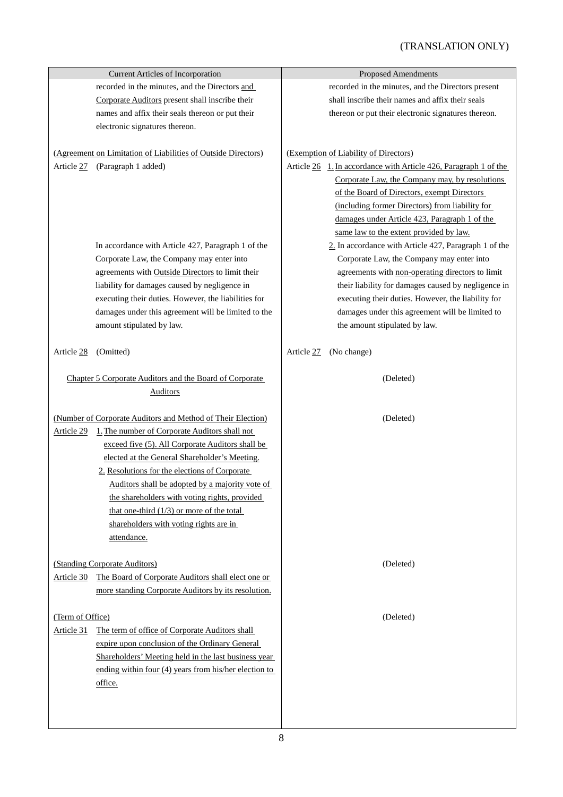|                  | <b>Current Articles of Incorporation</b>                      | <b>Proposed Amendments</b>                                                |
|------------------|---------------------------------------------------------------|---------------------------------------------------------------------------|
|                  | recorded in the minutes, and the Directors and                | recorded in the minutes, and the Directors present                        |
|                  | Corporate Auditors present shall inscribe their               | shall inscribe their names and affix their seals                          |
|                  | names and affix their seals thereon or put their              | thereon or put their electronic signatures thereon.                       |
|                  | electronic signatures thereon.                                |                                                                           |
|                  |                                                               |                                                                           |
|                  | (Agreement on Limitation of Liabilities of Outside Directors) | (Exemption of Liability of Directors)                                     |
| Article 27       | (Paragraph 1 added)                                           | Article $26 \quad 1$ . In accordance with Article 426, Paragraph 1 of the |
|                  |                                                               | Corporate Law, the Company may, by resolutions                            |
|                  |                                                               | of the Board of Directors, exempt Directors                               |
|                  |                                                               | (including former Directors) from liability for                           |
|                  |                                                               | damages under Article 423, Paragraph 1 of the                             |
|                  |                                                               | same law to the extent provided by law.                                   |
|                  | In accordance with Article 427, Paragraph 1 of the            | 2. In accordance with Article 427, Paragraph 1 of the                     |
|                  | Corporate Law, the Company may enter into                     | Corporate Law, the Company may enter into                                 |
|                  | agreements with Outside Directors to limit their              | agreements with non-operating directors to limit                          |
|                  | liability for damages caused by negligence in                 | their liability for damages caused by negligence in                       |
|                  | executing their duties. However, the liabilities for          | executing their duties. However, the liability for                        |
|                  | damages under this agreement will be limited to the           | damages under this agreement will be limited to                           |
|                  | amount stipulated by law.                                     | the amount stipulated by law.                                             |
| Article 28       | (Omitted)                                                     | Article 27<br>(No change)                                                 |
|                  | Chapter 5 Corporate Auditors and the Board of Corporate       | (Deleted)                                                                 |
| <b>Auditors</b>  |                                                               |                                                                           |
|                  |                                                               |                                                                           |
|                  | (Number of Corporate Auditors and Method of Their Election)   | (Deleted)                                                                 |
|                  | Article 29 1. The number of Corporate Auditors shall not      |                                                                           |
|                  | exceed five (5). All Corporate Auditors shall be              |                                                                           |
|                  | elected at the General Shareholder's Meeting.                 |                                                                           |
|                  | 2. Resolutions for the elections of Corporate                 |                                                                           |
|                  | Auditors shall be adopted by a majority vote of               |                                                                           |
|                  | the shareholders with voting rights, provided                 |                                                                           |
|                  | that one-third $(1/3)$ or more of the total                   |                                                                           |
|                  | shareholders with voting rights are in                        |                                                                           |
|                  | attendance.                                                   |                                                                           |
|                  | (Standing Corporate Auditors)                                 | (Deleted)                                                                 |
| Article 30       | The Board of Corporate Auditors shall elect one or            |                                                                           |
|                  | more standing Corporate Auditors by its resolution.           |                                                                           |
|                  |                                                               |                                                                           |
| (Term of Office) |                                                               | (Deleted)                                                                 |
| Article 31       | The term of office of Corporate Auditors shall                |                                                                           |
|                  | expire upon conclusion of the Ordinary General                |                                                                           |
|                  | Shareholders' Meeting held in the last business year          |                                                                           |
|                  | ending within four $(4)$ years from his/her election to       |                                                                           |
|                  | office.                                                       |                                                                           |
|                  |                                                               |                                                                           |
|                  |                                                               |                                                                           |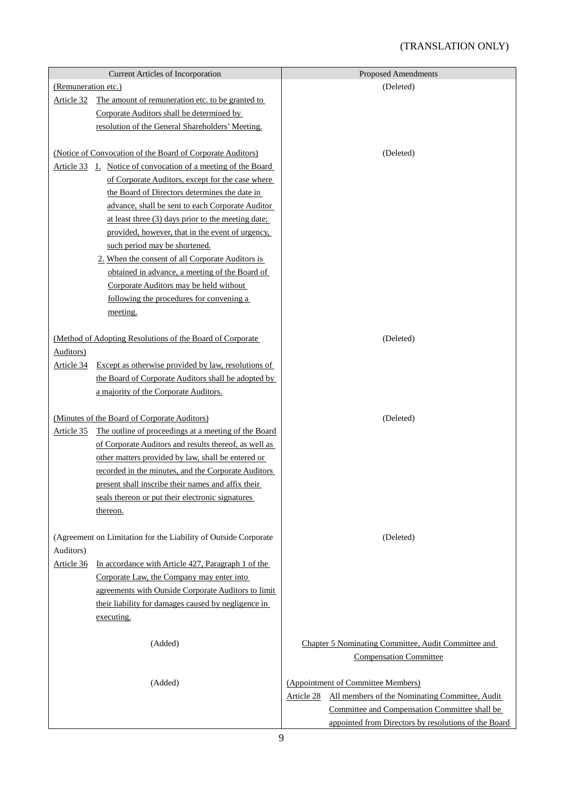## (TRANSLATION ONLY)

|                     | <b>Current Articles of Incorporation</b>                        | <b>Proposed Amendments</b>                                   |  |
|---------------------|-----------------------------------------------------------------|--------------------------------------------------------------|--|
| (Remuneration etc.) |                                                                 | (Deleted)                                                    |  |
| Article 32          | The amount of remuneration etc. to be granted to                |                                                              |  |
|                     | Corporate Auditors shall be determined by                       |                                                              |  |
|                     | resolution of the General Shareholders' Meeting.                |                                                              |  |
|                     |                                                                 |                                                              |  |
|                     | (Notice of Convocation of the Board of Corporate Auditors)      | (Deleted)                                                    |  |
| Article 33          | 1. Notice of convocation of a meeting of the Board              |                                                              |  |
|                     | of Corporate Auditors, except for the case where                |                                                              |  |
|                     | the Board of Directors determines the date in                   |                                                              |  |
|                     | advance, shall be sent to each Corporate Auditor                |                                                              |  |
|                     | at least three (3) days prior to the meeting date;              |                                                              |  |
|                     | provided, however, that in the event of urgency,                |                                                              |  |
|                     | such period may be shortened.                                   |                                                              |  |
|                     | 2. When the consent of all Corporate Auditors is                |                                                              |  |
|                     | obtained in advance, a meeting of the Board of                  |                                                              |  |
|                     | Corporate Auditors may be held without                          |                                                              |  |
|                     | following the procedures for convening a                        |                                                              |  |
|                     | meeting.                                                        |                                                              |  |
|                     |                                                                 |                                                              |  |
|                     | (Method of Adopting Resolutions of the Board of Corporate       | (Deleted)                                                    |  |
| <b>Auditors</b> )   |                                                                 |                                                              |  |
| Article 34          | Except as otherwise provided by law, resolutions of             |                                                              |  |
|                     | the Board of Corporate Auditors shall be adopted by             |                                                              |  |
|                     | a majority of the Corporate Auditors.                           |                                                              |  |
|                     |                                                                 |                                                              |  |
|                     | (Minutes of the Board of Corporate Auditors)                    | (Deleted)                                                    |  |
| Article 35          | The outline of proceedings at a meeting of the Board            |                                                              |  |
|                     | of Corporate Auditors and results thereof, as well as           |                                                              |  |
|                     | other matters provided by law, shall be entered or              |                                                              |  |
|                     | recorded in the minutes, and the Corporate Auditors             |                                                              |  |
|                     | present shall inscribe their names and affix their              |                                                              |  |
|                     | seals thereon or put their electronic signatures                |                                                              |  |
|                     | thereon.                                                        |                                                              |  |
|                     |                                                                 |                                                              |  |
|                     | (Agreement on Limitation for the Liability of Outside Corporate | (Deleted)                                                    |  |
| Auditors)           |                                                                 |                                                              |  |
| Article 36          | In accordance with Article 427, Paragraph 1 of the              |                                                              |  |
|                     | Corporate Law, the Company may enter into                       |                                                              |  |
|                     | agreements with Outside Corporate Auditors to limit             |                                                              |  |
|                     | their liability for damages caused by negligence in             |                                                              |  |
|                     | executing.                                                      |                                                              |  |
|                     | (Added)                                                         | Chapter 5 Nominating Committee, Audit Committee and          |  |
|                     |                                                                 | <b>Compensation Committee</b>                                |  |
|                     |                                                                 |                                                              |  |
|                     | (Added)                                                         | (Appointment of Committee Members)                           |  |
|                     |                                                                 | All members of the Nominating Committee, Audit<br>Article 28 |  |
|                     |                                                                 | Committee and Compensation Committee shall be                |  |
|                     |                                                                 | appointed from Directors by resolutions of the Board         |  |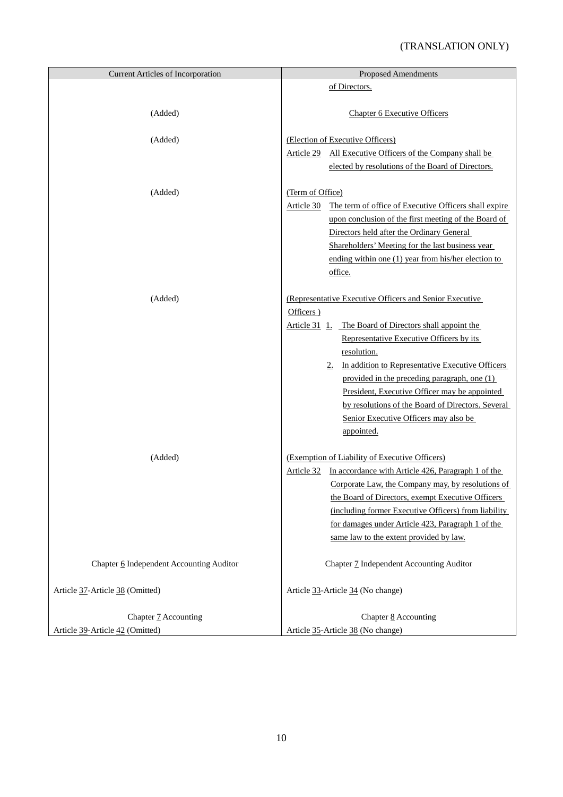| <b>Current Articles of Incorporation</b> | <b>Proposed Amendments</b>                                          |
|------------------------------------------|---------------------------------------------------------------------|
|                                          | of Directors.                                                       |
|                                          |                                                                     |
| (Added)                                  | <b>Chapter 6 Executive Officers</b>                                 |
|                                          |                                                                     |
| (Added)                                  | (Election of Executive Officers)                                    |
|                                          | Article 29 All Executive Officers of the Company shall be           |
|                                          | elected by resolutions of the Board of Directors.                   |
|                                          |                                                                     |
| (Added)                                  | (Term of Office)                                                    |
|                                          | The term of office of Executive Officers shall expire<br>Article 30 |
|                                          | upon conclusion of the first meeting of the Board of                |
|                                          | Directors held after the Ordinary General                           |
|                                          | Shareholders' Meeting for the last business year                    |
|                                          | ending within one (1) year from his/her election to                 |
|                                          | office.                                                             |
|                                          |                                                                     |
| (Added)                                  | (Representative Executive Officers and Senior Executive             |
|                                          | Officers)                                                           |
|                                          | Article 31 1. The Board of Directors shall appoint the              |
|                                          | Representative Executive Officers by its                            |
|                                          | resolution.<br>In addition to Representative Executive Officers     |
|                                          | 2.<br>provided in the preceding paragraph, one (1)                  |
|                                          | President, Executive Officer may be appointed                       |
|                                          | by resolutions of the Board of Directors. Several                   |
|                                          | Senior Executive Officers may also be                               |
|                                          | appointed.                                                          |
|                                          |                                                                     |
| (Added)                                  | (Exemption of Liability of Executive Officers)                      |
|                                          | Article 32 In accordance with Article 426, Paragraph 1 of the       |
|                                          | Corporate Law, the Company may, by resolutions of                   |
|                                          | the Board of Directors, exempt Executive Officers                   |
|                                          | (including former Executive Officers) from liability                |
|                                          | for damages under Article 423, Paragraph 1 of the                   |
|                                          | same law to the extent provided by law.                             |
|                                          |                                                                     |
| Chapter 6 Independent Accounting Auditor | Chapter 7 Independent Accounting Auditor                            |
|                                          |                                                                     |
| Article 37-Article 38 (Omitted)          | Article 33-Article 34 (No change)                                   |
|                                          |                                                                     |
| Chapter 7 Accounting                     | Chapter 8 Accounting                                                |
| Article 39-Article 42 (Omitted)          | Article 35-Article 38 (No change)                                   |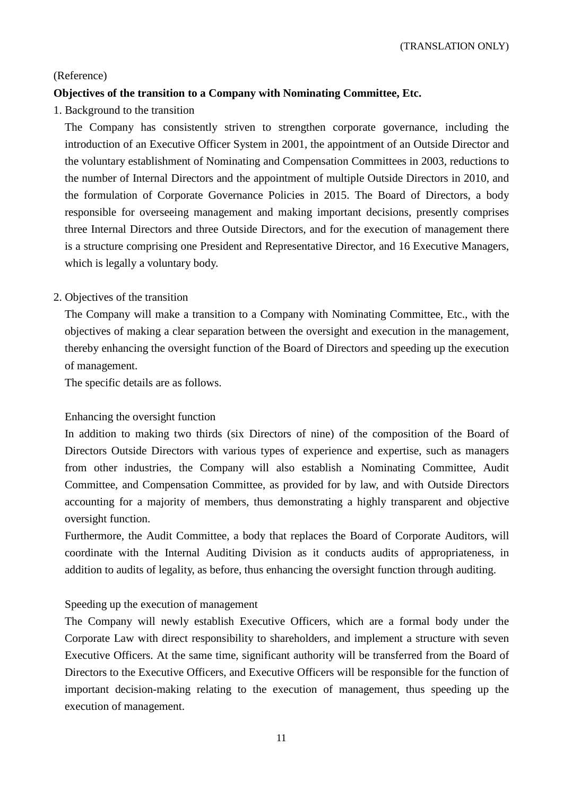### (Reference)

## **Objectives of the transition to a Company with Nominating Committee, Etc.**

1. Background to the transition

The Company has consistently striven to strengthen corporate governance, including the introduction of an Executive Officer System in 2001, the appointment of an Outside Director and the voluntary establishment of Nominating and Compensation Committees in 2003, reductions to the number of Internal Directors and the appointment of multiple Outside Directors in 2010, and the formulation of Corporate Governance Policies in 2015. The Board of Directors, a body responsible for overseeing management and making important decisions, presently comprises three Internal Directors and three Outside Directors, and for the execution of management there is a structure comprising one President and Representative Director, and 16 Executive Managers, which is legally a voluntary body.

### 2. Objectives of the transition

The Company will make a transition to a Company with Nominating Committee, Etc., with the objectives of making a clear separation between the oversight and execution in the management, thereby enhancing the oversight function of the Board of Directors and speeding up the execution of management.

The specific details are as follows.

### Enhancing the oversight function

In addition to making two thirds (six Directors of nine) of the composition of the Board of Directors Outside Directors with various types of experience and expertise, such as managers from other industries, the Company will also establish a Nominating Committee, Audit Committee, and Compensation Committee, as provided for by law, and with Outside Directors accounting for a majority of members, thus demonstrating a highly transparent and objective oversight function.

Furthermore, the Audit Committee, a body that replaces the Board of Corporate Auditors, will coordinate with the Internal Auditing Division as it conducts audits of appropriateness, in addition to audits of legality, as before, thus enhancing the oversight function through auditing.

### Speeding up the execution of management

The Company will newly establish Executive Officers, which are a formal body under the Corporate Law with direct responsibility to shareholders, and implement a structure with seven Executive Officers. At the same time, significant authority will be transferred from the Board of Directors to the Executive Officers, and Executive Officers will be responsible for the function of important decision-making relating to the execution of management, thus speeding up the execution of management.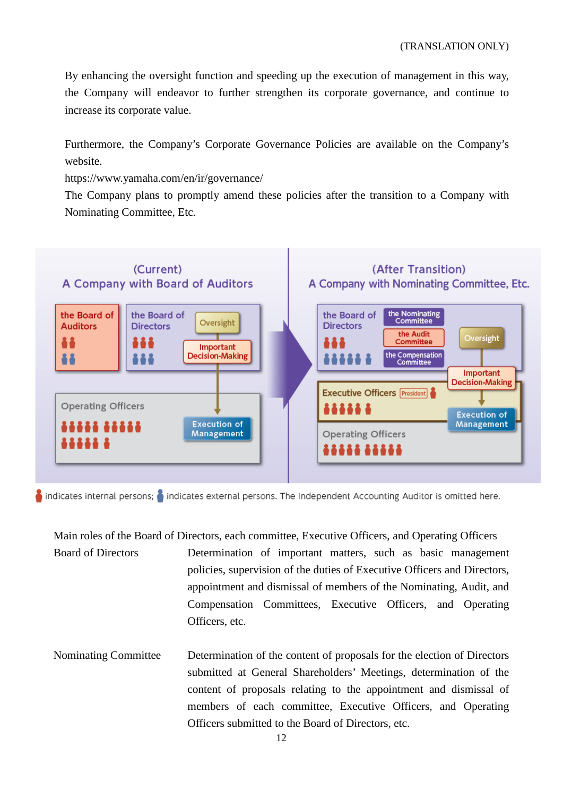By enhancing the oversight function and speeding up the execution of management in this way, the Company will endeavor to further strengthen its corporate governance, and continue to increase its corporate value.

Furthermore, the Company's Corporate Governance Policies are available on the Company's website.

https://www.yamaha.com/en/ir/governance/

The Company plans to promptly amend these policies after the transition to a Company with Nominating Committee, Etc.



indicates internal persons; indicates external persons. The Independent Accounting Auditor is omitted here.

Main roles of the Board of Directors, each committee, Executive Officers, and Operating Officers Board of Directors Determination of important matters, such as basic management policies, supervision of the duties of Executive Officers and Directors, appointment and dismissal of members of the Nominating, Audit, and Compensation Committees, Executive Officers, and Operating Officers, etc.

Nominating Committee Determination of the content of proposals for the election of Directors submitted at General Shareholders' Meetings, determination of the content of proposals relating to the appointment and dismissal of members of each committee, Executive Officers, and Operating Officers submitted to the Board of Directors, etc.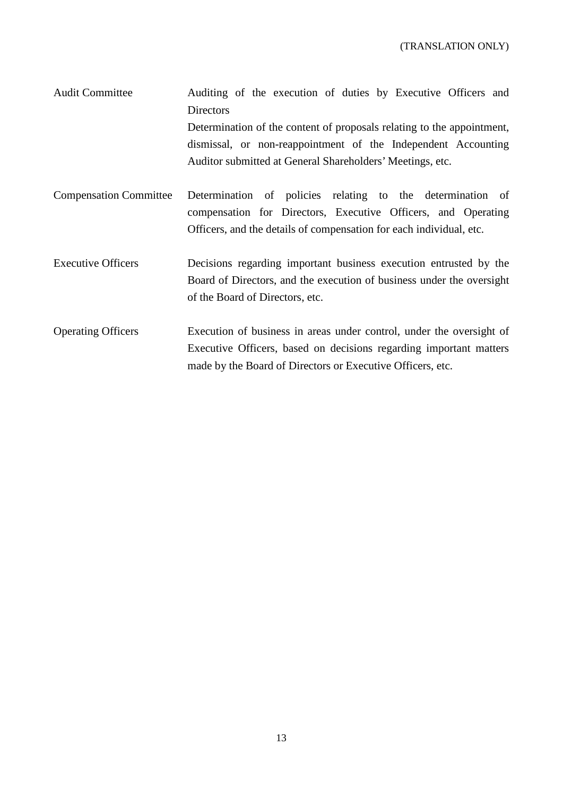Audit Committee Auditing of the execution of duties by Executive Officers and **Directors** Determination of the content of proposals relating to the appointment, dismissal, or non-reappointment of the Independent Accounting Auditor submitted at General Shareholders' Meetings, etc.

- Compensation Committee Determination of policies relating to the determination of compensation for Directors, Executive Officers, and Operating Officers, and the details of compensation for each individual, etc.
- Executive Officers Decisions regarding important business execution entrusted by the Board of Directors, and the execution of business under the oversight of the Board of Directors, etc.
- Operating Officers Execution of business in areas under control, under the oversight of Executive Officers, based on decisions regarding important matters made by the Board of Directors or Executive Officers, etc.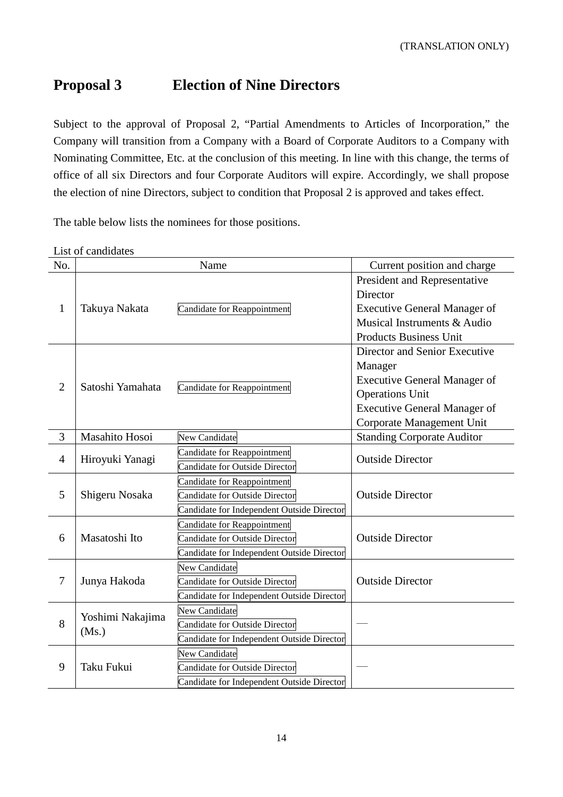## **Proposal 3 Election of Nine Directors**

Subject to the approval of Proposal 2, "Partial Amendments to Articles of Incorporation," the Company will transition from a Company with a Board of Corporate Auditors to a Company with Nominating Committee, Etc. at the conclusion of this meeting. In line with this change, the terms of office of all six Directors and four Corporate Auditors will expire. Accordingly, we shall propose the election of nine Directors, subject to condition that Proposal 2 is approved and takes effect.

The table below lists the nominees for those positions.

List of candidates

| No.            |                  | Name                                       | Current position and charge         |  |
|----------------|------------------|--------------------------------------------|-------------------------------------|--|
|                |                  |                                            | President and Representative        |  |
| $\mathbf{1}$   |                  |                                            | Director                            |  |
|                | Takuya Nakata    | Candidate for Reappointment                | <b>Executive General Manager of</b> |  |
|                |                  |                                            | Musical Instruments & Audio         |  |
|                |                  |                                            | <b>Products Business Unit</b>       |  |
|                |                  |                                            | Director and Senior Executive       |  |
|                |                  |                                            | Manager                             |  |
| $\overline{2}$ | Satoshi Yamahata | Candidate for Reappointment                | <b>Executive General Manager of</b> |  |
|                |                  |                                            | <b>Operations Unit</b>              |  |
|                |                  |                                            | <b>Executive General Manager of</b> |  |
|                |                  |                                            | Corporate Management Unit           |  |
| 3              | Masahito Hosoi   | New Candidate                              | <b>Standing Corporate Auditor</b>   |  |
| $\overline{4}$ | Hiroyuki Yanagi  | Candidate for Reappointment                | <b>Outside Director</b>             |  |
|                |                  | <b>Candidate for Outside Director</b>      |                                     |  |
|                | Shigeru Nosaka   | Candidate for Reappointment                |                                     |  |
| 5              |                  | Candidate for Outside Director             | <b>Outside Director</b>             |  |
|                |                  | Candidate for Independent Outside Director |                                     |  |
|                | Masatoshi Ito    | Candidate for Reappointment                |                                     |  |
| 6              |                  | Candidate for Outside Director             | <b>Outside Director</b>             |  |
|                |                  | Candidate for Independent Outside Director |                                     |  |
|                |                  | <b>New Candidate</b>                       |                                     |  |
| 7              | Junya Hakoda     | <b>Candidate for Outside Director</b>      | <b>Outside Director</b>             |  |
|                |                  | Candidate for Independent Outside Director |                                     |  |
|                | Yoshimi Nakajima | New Candidate                              |                                     |  |
| 8              | (Ms.)            | <b>Candidate for Outside Director</b>      |                                     |  |
|                |                  | Candidate for Independent Outside Director |                                     |  |
|                |                  | <b>New Candidate</b>                       |                                     |  |
| 9              | Taku Fukui       | <b>Candidate for Outside Director</b>      |                                     |  |
|                |                  | Candidate for Independent Outside Director |                                     |  |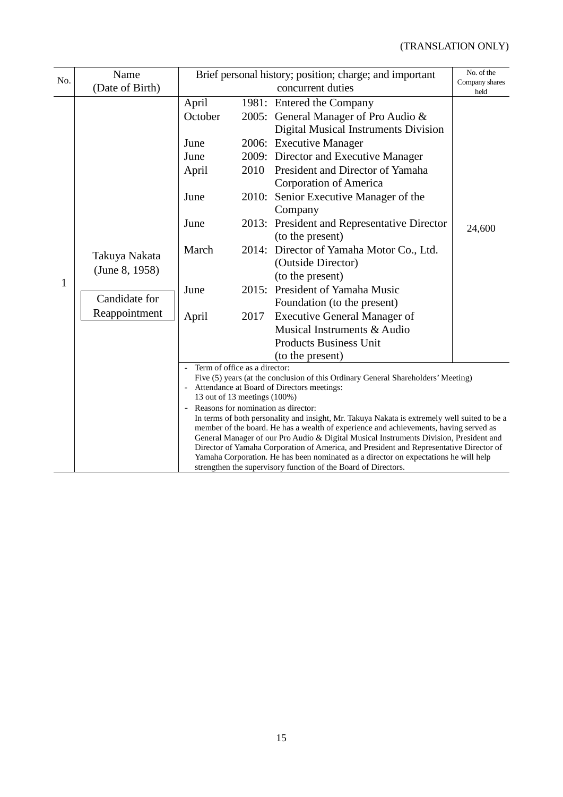| Name<br>(Date of Birth)                                           | Brief personal history; position; charge; and important<br>concurrent duties                                                                                                                                                                                                                                                                                                                                                                                                                                                                                                                                          |              |                                                                                                                                                                                                                                                                                                                                 | No. of the<br>Company shares<br>held                                                                                                                                                                                                                                                                                                                                                                                                                                                      |
|-------------------------------------------------------------------|-----------------------------------------------------------------------------------------------------------------------------------------------------------------------------------------------------------------------------------------------------------------------------------------------------------------------------------------------------------------------------------------------------------------------------------------------------------------------------------------------------------------------------------------------------------------------------------------------------------------------|--------------|---------------------------------------------------------------------------------------------------------------------------------------------------------------------------------------------------------------------------------------------------------------------------------------------------------------------------------|-------------------------------------------------------------------------------------------------------------------------------------------------------------------------------------------------------------------------------------------------------------------------------------------------------------------------------------------------------------------------------------------------------------------------------------------------------------------------------------------|
| Takuya Nakata<br>(June 8, 1958)<br>Candidate for<br>Reappointment | April<br>October<br>June<br>June<br>April<br>June<br>June<br>March<br>June<br>April                                                                                                                                                                                                                                                                                                                                                                                                                                                                                                                                   | 2010<br>2017 | <b>Digital Musical Instruments Division</b><br>President and Director of Yamaha<br><b>Corporation of America</b><br>Company<br>(to the present)<br>(Outside Director)<br>(to the present)<br>Foundation (to the present)<br><b>Executive General Manager of</b><br>Musical Instruments & Audio<br><b>Products Business Unit</b> | 24,600                                                                                                                                                                                                                                                                                                                                                                                                                                                                                    |
|                                                                   | Term of office as a director:<br>Five (5) years (at the conclusion of this Ordinary General Shareholders' Meeting)<br>Attendance at Board of Directors meetings:<br>13 out of 13 meetings (100%)<br>Reasons for nomination as director:<br>In terms of both personality and insight, Mr. Takuya Nakata is extremely well suited to be a<br>member of the board. He has a wealth of experience and achievements, having served as<br>General Manager of our Pro Audio & Digital Musical Instruments Division, President and<br>Director of Yamaha Corporation of America, and President and Representative Director of |              |                                                                                                                                                                                                                                                                                                                                 |                                                                                                                                                                                                                                                                                                                                                                                                                                                                                           |
|                                                                   |                                                                                                                                                                                                                                                                                                                                                                                                                                                                                                                                                                                                                       |              |                                                                                                                                                                                                                                                                                                                                 | 1981: Entered the Company<br>2005: General Manager of Pro Audio &<br>2006: Executive Manager<br>2009: Director and Executive Manager<br>2010: Senior Executive Manager of the<br>2013: President and Representative Director<br>2014: Director of Yamaha Motor Co., Ltd.<br>2015: President of Yamaha Music<br>(to the present)<br>Yamaha Corporation. He has been nominated as a director on expectations he will help<br>strengthen the supervisory function of the Board of Directors. |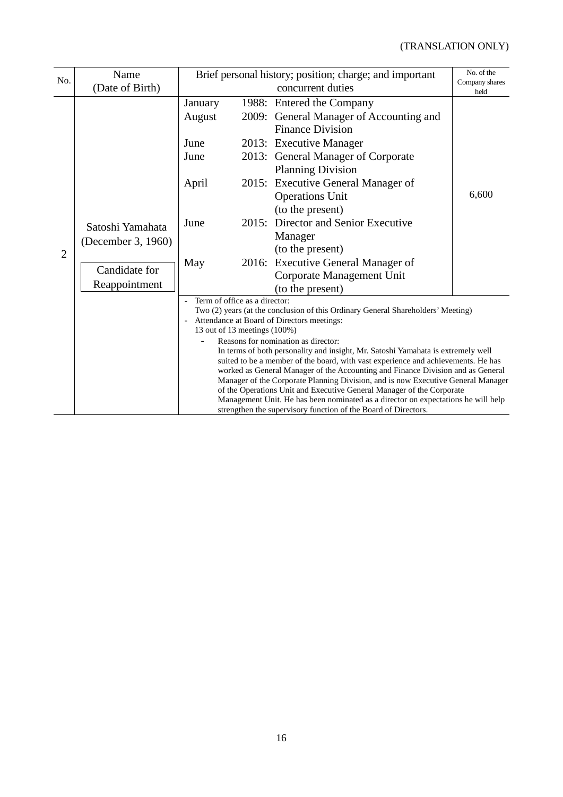| No.            | Name                                                                     |                                                               | Brief personal history; position; charge; and important                                                                                                                                                                                                                                                                                                                                                                                                                                                                                                                                                                                                                                                                                               |       |  |
|----------------|--------------------------------------------------------------------------|---------------------------------------------------------------|-------------------------------------------------------------------------------------------------------------------------------------------------------------------------------------------------------------------------------------------------------------------------------------------------------------------------------------------------------------------------------------------------------------------------------------------------------------------------------------------------------------------------------------------------------------------------------------------------------------------------------------------------------------------------------------------------------------------------------------------------------|-------|--|
|                | (Date of Birth)                                                          |                                                               | Company shares<br>held                                                                                                                                                                                                                                                                                                                                                                                                                                                                                                                                                                                                                                                                                                                                |       |  |
| $\overline{2}$ | Satoshi Yamahata<br>(December 3, 1960)<br>Candidate for<br>Reappointment | January<br>August<br>June<br>June<br>April<br>June<br>May     | 1988: Entered the Company<br>2009: General Manager of Accounting and<br><b>Finance Division</b><br>2013: Executive Manager<br>2013: General Manager of Corporate<br><b>Planning Division</b><br>2015: Executive General Manager of<br><b>Operations Unit</b><br>(to the present)<br>2015: Director and Senior Executive<br>Manager<br>(to the present)<br>2016: Executive General Manager of<br>Corporate Management Unit<br>(to the present)                                                                                                                                                                                                                                                                                                         | 6,600 |  |
|                |                                                                          | Term of office as a director:<br>13 out of 13 meetings (100%) | Two (2) years (at the conclusion of this Ordinary General Shareholders' Meeting)<br>Attendance at Board of Directors meetings:<br>Reasons for nomination as director:<br>In terms of both personality and insight, Mr. Satoshi Yamahata is extremely well<br>suited to be a member of the board, with vast experience and achievements. He has<br>worked as General Manager of the Accounting and Finance Division and as General<br>Manager of the Corporate Planning Division, and is now Executive General Manager<br>of the Operations Unit and Executive General Manager of the Corporate<br>Management Unit. He has been nominated as a director on expectations he will help<br>strengthen the supervisory function of the Board of Directors. |       |  |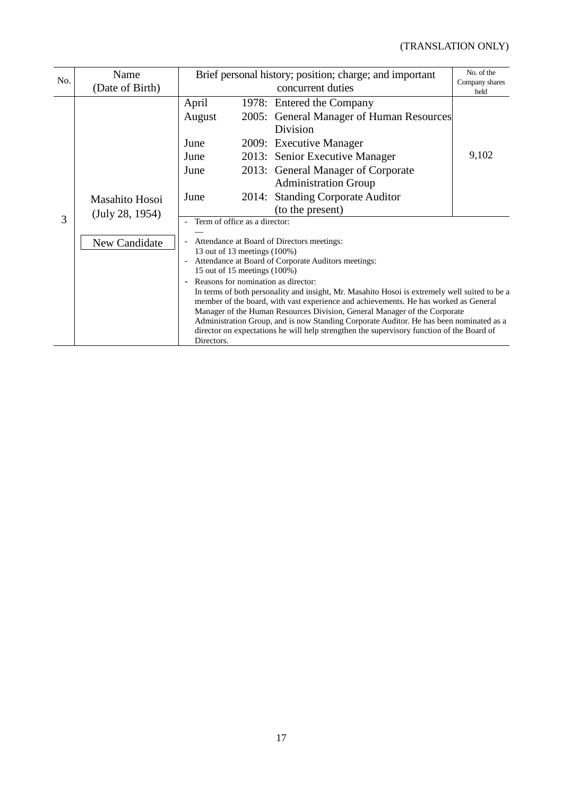| No. | Name            | Brief personal history; position; charge; and important                                                                                                              |  |                                                                                               | No. of the             |  |
|-----|-----------------|----------------------------------------------------------------------------------------------------------------------------------------------------------------------|--|-----------------------------------------------------------------------------------------------|------------------------|--|
|     | (Date of Birth) |                                                                                                                                                                      |  | concurrent duties                                                                             | Company shares<br>held |  |
|     |                 | April                                                                                                                                                                |  | 1978: Entered the Company                                                                     |                        |  |
|     |                 | August                                                                                                                                                               |  | 2005: General Manager of Human Resources                                                      |                        |  |
|     |                 |                                                                                                                                                                      |  | Division                                                                                      |                        |  |
|     |                 | June                                                                                                                                                                 |  | 2009: Executive Manager                                                                       |                        |  |
|     |                 | June                                                                                                                                                                 |  | 2013: Senior Executive Manager                                                                | 9,102                  |  |
|     |                 | June                                                                                                                                                                 |  | 2013: General Manager of Corporate                                                            |                        |  |
|     |                 |                                                                                                                                                                      |  | <b>Administration Group</b>                                                                   |                        |  |
|     | Masahito Hosoi  | June                                                                                                                                                                 |  | 2014: Standing Corporate Auditor                                                              |                        |  |
|     | (July 28, 1954) |                                                                                                                                                                      |  | (to the present)                                                                              |                        |  |
| 3   |                 | Term of office as a director:                                                                                                                                        |  |                                                                                               |                        |  |
|     | New Candidate   | Attendance at Board of Directors meetings:                                                                                                                           |  |                                                                                               |                        |  |
|     |                 | 13 out of 13 meetings (100%)                                                                                                                                         |  |                                                                                               |                        |  |
|     |                 | $\overline{\phantom{a}}$                                                                                                                                             |  | Attendance at Board of Corporate Auditors meetings:                                           |                        |  |
|     |                 | 15 out of 15 meetings (100%)<br>Reasons for nomination as director:                                                                                                  |  |                                                                                               |                        |  |
|     |                 |                                                                                                                                                                      |  | In terms of both personality and insight, Mr. Masahito Hosoi is extremely well suited to be a |                        |  |
|     |                 |                                                                                                                                                                      |  | member of the board, with vast experience and achievements. He has worked as General          |                        |  |
|     |                 | Manager of the Human Resources Division, General Manager of the Corporate<br>Administration Group, and is now Standing Corporate Auditor. He has been nominated as a |  |                                                                                               |                        |  |
|     |                 | director on expectations he will help strengthen the supervisory function of the Board of                                                                            |  |                                                                                               |                        |  |
|     |                 | Directors.                                                                                                                                                           |  |                                                                                               |                        |  |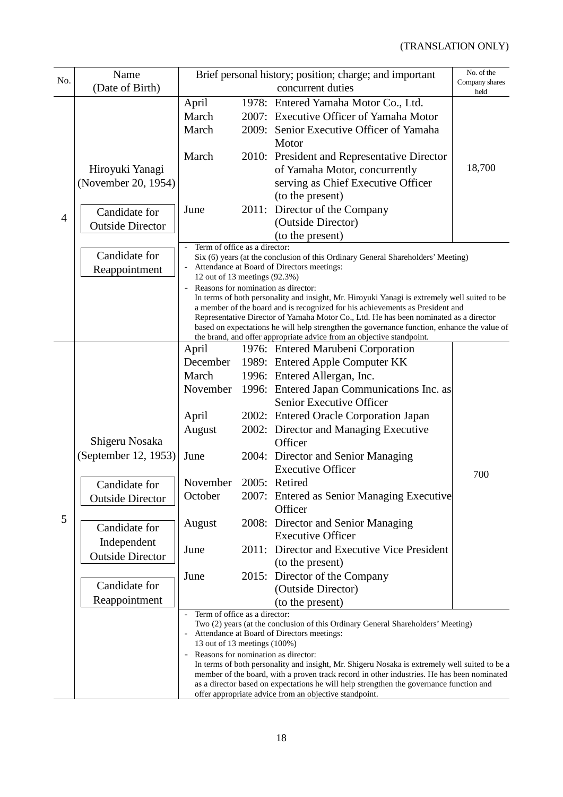## (TRANSLATION ONLY)

|                | Name                    | No. of the<br>Brief personal history; position; charge; and important                      |                                                                                                                                                                               |                                                                                                                                                                      |                        |  |  |  |
|----------------|-------------------------|--------------------------------------------------------------------------------------------|-------------------------------------------------------------------------------------------------------------------------------------------------------------------------------|----------------------------------------------------------------------------------------------------------------------------------------------------------------------|------------------------|--|--|--|
| No.            | (Date of Birth)         |                                                                                            |                                                                                                                                                                               | concurrent duties                                                                                                                                                    | Company shares<br>held |  |  |  |
|                |                         | April                                                                                      |                                                                                                                                                                               | 1978: Entered Yamaha Motor Co., Ltd.                                                                                                                                 |                        |  |  |  |
|                |                         | March                                                                                      |                                                                                                                                                                               | 2007: Executive Officer of Yamaha Motor                                                                                                                              |                        |  |  |  |
|                |                         | March                                                                                      |                                                                                                                                                                               | 2009: Senior Executive Officer of Yamaha                                                                                                                             |                        |  |  |  |
|                |                         |                                                                                            |                                                                                                                                                                               | Motor                                                                                                                                                                |                        |  |  |  |
|                |                         | March                                                                                      |                                                                                                                                                                               | 2010: President and Representative Director                                                                                                                          |                        |  |  |  |
|                | Hiroyuki Yanagi         |                                                                                            |                                                                                                                                                                               | of Yamaha Motor, concurrently                                                                                                                                        | 18,700                 |  |  |  |
|                | (November 20, 1954)     |                                                                                            |                                                                                                                                                                               | serving as Chief Executive Officer                                                                                                                                   |                        |  |  |  |
|                |                         |                                                                                            |                                                                                                                                                                               | (to the present)                                                                                                                                                     |                        |  |  |  |
|                | Candidate for           | June                                                                                       |                                                                                                                                                                               | 2011: Director of the Company                                                                                                                                        |                        |  |  |  |
| $\overline{4}$ | <b>Outside Director</b> |                                                                                            |                                                                                                                                                                               | (Outside Director)                                                                                                                                                   |                        |  |  |  |
|                |                         |                                                                                            |                                                                                                                                                                               | (to the present)                                                                                                                                                     |                        |  |  |  |
|                | Candidate for           | Term of office as a director:                                                              |                                                                                                                                                                               |                                                                                                                                                                      |                        |  |  |  |
|                | Reappointment           |                                                                                            |                                                                                                                                                                               | Six (6) years (at the conclusion of this Ordinary General Shareholders' Meeting)                                                                                     |                        |  |  |  |
|                |                         |                                                                                            | Attendance at Board of Directors meetings:<br>12 out of 13 meetings (92.3%)                                                                                                   |                                                                                                                                                                      |                        |  |  |  |
|                |                         |                                                                                            | Reasons for nomination as director:                                                                                                                                           |                                                                                                                                                                      |                        |  |  |  |
|                |                         |                                                                                            | In terms of both personality and insight, Mr. Hiroyuki Yanagi is extremely well suited to be<br>a member of the board and is recognized for his achievements as President and |                                                                                                                                                                      |                        |  |  |  |
|                |                         | Representative Director of Yamaha Motor Co., Ltd. He has been nominated as a director      |                                                                                                                                                                               |                                                                                                                                                                      |                        |  |  |  |
|                |                         |                                                                                            |                                                                                                                                                                               | based on expectations he will help strengthen the governance function, enhance the value of<br>the brand, and offer appropriate advice from an objective standpoint. |                        |  |  |  |
|                |                         | April                                                                                      |                                                                                                                                                                               | 1976: Entered Marubeni Corporation                                                                                                                                   |                        |  |  |  |
|                |                         | December                                                                                   |                                                                                                                                                                               | 1989: Entered Apple Computer KK                                                                                                                                      |                        |  |  |  |
|                |                         | March                                                                                      |                                                                                                                                                                               | 1996: Entered Allergan, Inc.                                                                                                                                         |                        |  |  |  |
|                |                         | November                                                                                   |                                                                                                                                                                               | 1996: Entered Japan Communications Inc. as                                                                                                                           |                        |  |  |  |
|                |                         |                                                                                            |                                                                                                                                                                               | Senior Executive Officer                                                                                                                                             |                        |  |  |  |
|                |                         | April                                                                                      |                                                                                                                                                                               | 2002: Entered Oracle Corporation Japan                                                                                                                               |                        |  |  |  |
|                |                         | August                                                                                     |                                                                                                                                                                               | 2002: Director and Managing Executive                                                                                                                                |                        |  |  |  |
|                | Shigeru Nosaka          |                                                                                            |                                                                                                                                                                               | Officer                                                                                                                                                              |                        |  |  |  |
|                | (September 12, 1953)    | June                                                                                       |                                                                                                                                                                               | 2004: Director and Senior Managing                                                                                                                                   |                        |  |  |  |
|                |                         |                                                                                            |                                                                                                                                                                               | <b>Executive Officer</b>                                                                                                                                             | 700                    |  |  |  |
|                | Candidate for           | November                                                                                   |                                                                                                                                                                               | 2005: Retired                                                                                                                                                        |                        |  |  |  |
|                | <b>Outside Director</b> | October                                                                                    |                                                                                                                                                                               | 2007: Entered as Senior Managing Executive                                                                                                                           |                        |  |  |  |
|                |                         |                                                                                            |                                                                                                                                                                               | Officer                                                                                                                                                              |                        |  |  |  |
| 5              | Candidate for           | August                                                                                     |                                                                                                                                                                               | 2008: Director and Senior Managing                                                                                                                                   |                        |  |  |  |
|                | Independent             |                                                                                            |                                                                                                                                                                               | <b>Executive Officer</b>                                                                                                                                             |                        |  |  |  |
|                | <b>Outside Director</b> | June                                                                                       |                                                                                                                                                                               | 2011: Director and Executive Vice President                                                                                                                          |                        |  |  |  |
|                |                         |                                                                                            |                                                                                                                                                                               | (to the present)                                                                                                                                                     |                        |  |  |  |
|                | Candidate for           | June                                                                                       |                                                                                                                                                                               | 2015: Director of the Company                                                                                                                                        |                        |  |  |  |
|                |                         |                                                                                            |                                                                                                                                                                               | (Outside Director)                                                                                                                                                   |                        |  |  |  |
|                | Reappointment           |                                                                                            |                                                                                                                                                                               | (to the present)                                                                                                                                                     |                        |  |  |  |
|                |                         | Term of office as a director:<br>$\frac{1}{2}$                                             |                                                                                                                                                                               | Two (2) years (at the conclusion of this Ordinary General Shareholders' Meeting)                                                                                     |                        |  |  |  |
|                |                         |                                                                                            |                                                                                                                                                                               | Attendance at Board of Directors meetings:                                                                                                                           |                        |  |  |  |
|                |                         | 13 out of 13 meetings (100%)<br>Reasons for nomination as director:                        |                                                                                                                                                                               |                                                                                                                                                                      |                        |  |  |  |
|                |                         |                                                                                            |                                                                                                                                                                               | In terms of both personality and insight, Mr. Shigeru Nosaka is extremely well suited to be a                                                                        |                        |  |  |  |
|                |                         | member of the board, with a proven track record in other industries. He has been nominated |                                                                                                                                                                               |                                                                                                                                                                      |                        |  |  |  |
|                |                         | as a director based on expectations he will help strengthen the governance function and    |                                                                                                                                                                               |                                                                                                                                                                      |                        |  |  |  |
|                |                         | offer appropriate advice from an objective standpoint.                                     |                                                                                                                                                                               |                                                                                                                                                                      |                        |  |  |  |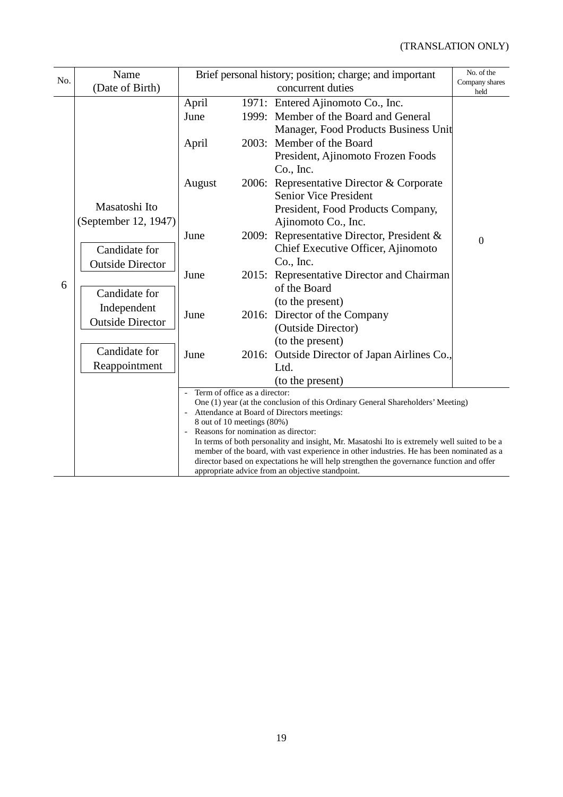| No. | Name                                                                                      | Brief personal history; position; charge; and important                                                                                                                                                                                                                                                                                                                          |       |                                                                                                                                                                                                   | No. of the<br>Company shares |  |
|-----|-------------------------------------------------------------------------------------------|----------------------------------------------------------------------------------------------------------------------------------------------------------------------------------------------------------------------------------------------------------------------------------------------------------------------------------------------------------------------------------|-------|---------------------------------------------------------------------------------------------------------------------------------------------------------------------------------------------------|------------------------------|--|
|     | (Date of Birth)                                                                           |                                                                                                                                                                                                                                                                                                                                                                                  |       | concurrent duties                                                                                                                                                                                 | held                         |  |
|     |                                                                                           | April<br>June<br>April                                                                                                                                                                                                                                                                                                                                                           |       | 1971: Entered Ajinomoto Co., Inc.<br>1999: Member of the Board and General<br>Manager, Food Products Business Unit<br>2003: Member of the Board<br>President, Ajinomoto Frozen Foods<br>Co., Inc. |                              |  |
|     | Masatoshi Ito<br>(September 12, 1947)                                                     | August                                                                                                                                                                                                                                                                                                                                                                           | 2006: | Representative Director & Corporate<br><b>Senior Vice President</b><br>President, Food Products Company,<br>Ajinomoto Co., Inc.                                                                   |                              |  |
|     | Candidate for<br><b>Outside Director</b>                                                  | June                                                                                                                                                                                                                                                                                                                                                                             | 2009: | Representative Director, President &<br>Chief Executive Officer, Ajinomoto<br>Co., Inc.                                                                                                           | $\overline{0}$               |  |
| 6   | Candidate for<br>Independent<br><b>Outside Director</b><br>Candidate for<br>Reappointment | June                                                                                                                                                                                                                                                                                                                                                                             |       | 2015: Representative Director and Chairman<br>of the Board<br>(to the present)                                                                                                                    |                              |  |
|     |                                                                                           | June                                                                                                                                                                                                                                                                                                                                                                             |       | 2016: Director of the Company<br>(Outside Director)<br>(to the present)                                                                                                                           |                              |  |
|     |                                                                                           | June                                                                                                                                                                                                                                                                                                                                                                             |       | 2016: Outside Director of Japan Airlines Co.,<br>Ltd.<br>(to the present)                                                                                                                         |                              |  |
|     |                                                                                           | Term of office as a director:                                                                                                                                                                                                                                                                                                                                                    |       |                                                                                                                                                                                                   |                              |  |
|     |                                                                                           | One (1) year (at the conclusion of this Ordinary General Shareholders' Meeting)<br>Attendance at Board of Directors meetings:<br>8 out of 10 meetings (80%)                                                                                                                                                                                                                      |       |                                                                                                                                                                                                   |                              |  |
|     |                                                                                           | Reasons for nomination as director:<br>In terms of both personality and insight, Mr. Masatoshi Ito is extremely well suited to be a<br>member of the board, with vast experience in other industries. He has been nominated as a<br>director based on expectations he will help strengthen the governance function and offer<br>appropriate advice from an objective standpoint. |       |                                                                                                                                                                                                   |                              |  |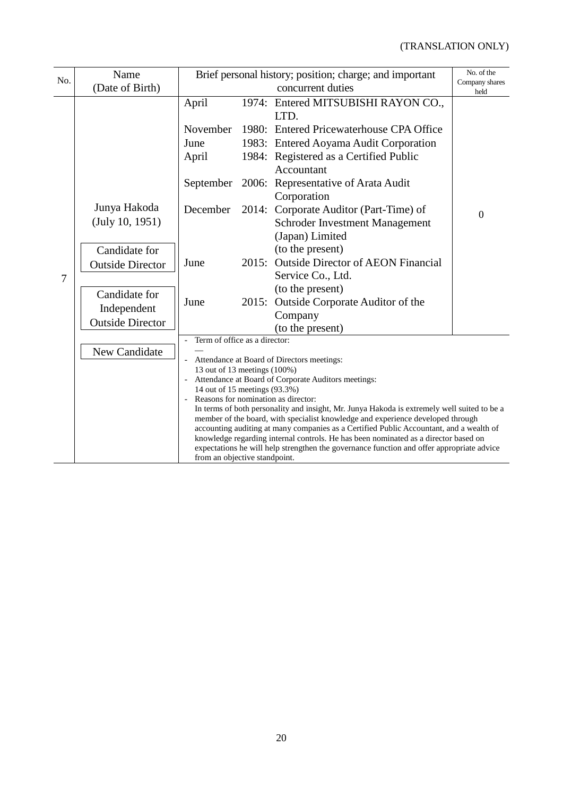| No.            | Name                            | Brief personal history; position; charge; and important<br>concurrent duties                                                          |                                                                                                                                                                                                                                                                                                                                                                                                                                                                                                                                                                    |                                                                                                | No. of the<br>Company shares |
|----------------|---------------------------------|---------------------------------------------------------------------------------------------------------------------------------------|--------------------------------------------------------------------------------------------------------------------------------------------------------------------------------------------------------------------------------------------------------------------------------------------------------------------------------------------------------------------------------------------------------------------------------------------------------------------------------------------------------------------------------------------------------------------|------------------------------------------------------------------------------------------------|------------------------------|
|                | (Date of Birth)                 |                                                                                                                                       |                                                                                                                                                                                                                                                                                                                                                                                                                                                                                                                                                                    |                                                                                                | held                         |
|                |                                 | April                                                                                                                                 |                                                                                                                                                                                                                                                                                                                                                                                                                                                                                                                                                                    | 1974: Entered MITSUBISHI RAYON CO.,<br>LTD.                                                    |                              |
| $\overline{7}$ |                                 | November                                                                                                                              |                                                                                                                                                                                                                                                                                                                                                                                                                                                                                                                                                                    | 1980: Entered Pricewaterhouse CPA Office                                                       |                              |
|                |                                 | June<br>April                                                                                                                         |                                                                                                                                                                                                                                                                                                                                                                                                                                                                                                                                                                    | 1983: Entered Aoyama Audit Corporation<br>1984: Registered as a Certified Public<br>Accountant |                              |
|                |                                 | September                                                                                                                             |                                                                                                                                                                                                                                                                                                                                                                                                                                                                                                                                                                    | 2006: Representative of Arata Audit<br>Corporation                                             |                              |
|                | Junya Hakoda<br>(July 10, 1951) | December                                                                                                                              |                                                                                                                                                                                                                                                                                                                                                                                                                                                                                                                                                                    | 2014: Corporate Auditor (Part-Time) of<br>Schroder Investment Management<br>(Japan) Limited    | $\overline{0}$               |
|                | Candidate for                   |                                                                                                                                       |                                                                                                                                                                                                                                                                                                                                                                                                                                                                                                                                                                    | (to the present)                                                                               |                              |
|                | <b>Outside Director</b>         | June                                                                                                                                  |                                                                                                                                                                                                                                                                                                                                                                                                                                                                                                                                                                    | 2015: Outside Director of AEON Financial                                                       |                              |
|                |                                 |                                                                                                                                       |                                                                                                                                                                                                                                                                                                                                                                                                                                                                                                                                                                    | Service Co., Ltd.                                                                              |                              |
|                | Candidate for                   | June                                                                                                                                  |                                                                                                                                                                                                                                                                                                                                                                                                                                                                                                                                                                    | (to the present)                                                                               |                              |
|                | Independent                     |                                                                                                                                       |                                                                                                                                                                                                                                                                                                                                                                                                                                                                                                                                                                    | 2015: Outside Corporate Auditor of the<br>Company                                              |                              |
|                | <b>Outside Director</b>         |                                                                                                                                       |                                                                                                                                                                                                                                                                                                                                                                                                                                                                                                                                                                    | (to the present)                                                                               |                              |
|                |                                 | Term of office as a director:                                                                                                         |                                                                                                                                                                                                                                                                                                                                                                                                                                                                                                                                                                    |                                                                                                |                              |
|                | New Candidate                   | 13 out of 13 meetings (100%)<br>14 out of 15 meetings (93.3%)<br>Reasons for nomination as director:<br>from an objective standpoint. | Attendance at Board of Directors meetings:<br>Attendance at Board of Corporate Auditors meetings:<br>In terms of both personality and insight, Mr. Junya Hakoda is extremely well suited to be a<br>member of the board, with specialist knowledge and experience developed through<br>accounting auditing at many companies as a Certified Public Accountant, and a wealth of<br>knowledge regarding internal controls. He has been nominated as a director based on<br>expectations he will help strengthen the governance function and offer appropriate advice |                                                                                                |                              |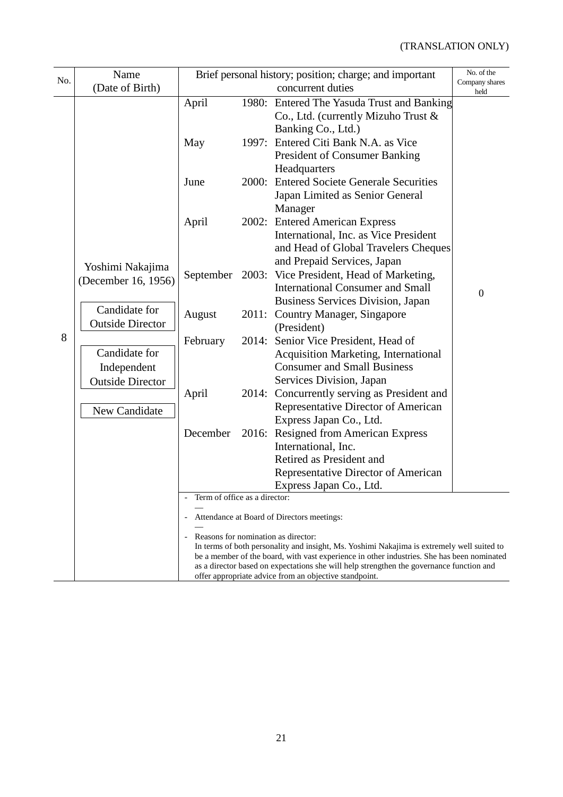| No. | Name<br>(Date of Birth)                                                                                                                                         | Brief personal history; position; charge; and important<br>concurrent duties                                                                                                                                                                                                                                                                                                          |       |                                                                                                                                                                                                   | No. of the<br>Company shares<br>held |  |
|-----|-----------------------------------------------------------------------------------------------------------------------------------------------------------------|---------------------------------------------------------------------------------------------------------------------------------------------------------------------------------------------------------------------------------------------------------------------------------------------------------------------------------------------------------------------------------------|-------|---------------------------------------------------------------------------------------------------------------------------------------------------------------------------------------------------|--------------------------------------|--|
| 8   | Yoshimi Nakajima<br>(December 16, 1956)<br>Candidate for<br><b>Outside Director</b><br>Candidate for<br>Independent<br><b>Outside Director</b><br>New Candidate | April<br>May                                                                                                                                                                                                                                                                                                                                                                          | 1997: | 1980: Entered The Yasuda Trust and Banking<br>Co., Ltd. (currently Mizuho Trust &<br>Banking Co., Ltd.)<br>Entered Citi Bank N.A. as Vice<br><b>President of Consumer Banking</b><br>Headquarters |                                      |  |
|     |                                                                                                                                                                 | June                                                                                                                                                                                                                                                                                                                                                                                  | 2000: | <b>Entered Societe Generale Securities</b><br>Japan Limited as Senior General<br>Manager                                                                                                          |                                      |  |
|     |                                                                                                                                                                 | April                                                                                                                                                                                                                                                                                                                                                                                 |       | 2002: Entered American Express<br>International, Inc. as Vice President<br>and Head of Global Travelers Cheques<br>and Prepaid Services, Japan                                                    |                                      |  |
|     |                                                                                                                                                                 | September                                                                                                                                                                                                                                                                                                                                                                             | 2003: | Vice President, Head of Marketing,<br><b>International Consumer and Small</b><br>Business Services Division, Japan                                                                                | $\boldsymbol{0}$                     |  |
|     |                                                                                                                                                                 | August                                                                                                                                                                                                                                                                                                                                                                                |       | 2011: Country Manager, Singapore<br>(President)                                                                                                                                                   |                                      |  |
|     |                                                                                                                                                                 | February                                                                                                                                                                                                                                                                                                                                                                              |       | 2014: Senior Vice President, Head of<br>Acquisition Marketing, International<br><b>Consumer and Small Business</b><br>Services Division, Japan                                                    |                                      |  |
|     |                                                                                                                                                                 | April                                                                                                                                                                                                                                                                                                                                                                                 |       | 2014: Concurrently serving as President and<br>Representative Director of American<br>Express Japan Co., Ltd.                                                                                     |                                      |  |
|     |                                                                                                                                                                 | December                                                                                                                                                                                                                                                                                                                                                                              |       | 2016: Resigned from American Express<br>International, Inc.<br>Retired as President and<br>Representative Director of American<br>Express Japan Co., Ltd.                                         |                                      |  |
|     |                                                                                                                                                                 | Term of office as a director:                                                                                                                                                                                                                                                                                                                                                         |       |                                                                                                                                                                                                   |                                      |  |
|     |                                                                                                                                                                 | Attendance at Board of Directors meetings:                                                                                                                                                                                                                                                                                                                                            |       |                                                                                                                                                                                                   |                                      |  |
|     |                                                                                                                                                                 | Reasons for nomination as director:<br>In terms of both personality and insight, Ms. Yoshimi Nakajima is extremely well suited to<br>be a member of the board, with vast experience in other industries. She has been nominated<br>as a director based on expectations she will help strengthen the governance function and<br>offer appropriate advice from an objective standpoint. |       |                                                                                                                                                                                                   |                                      |  |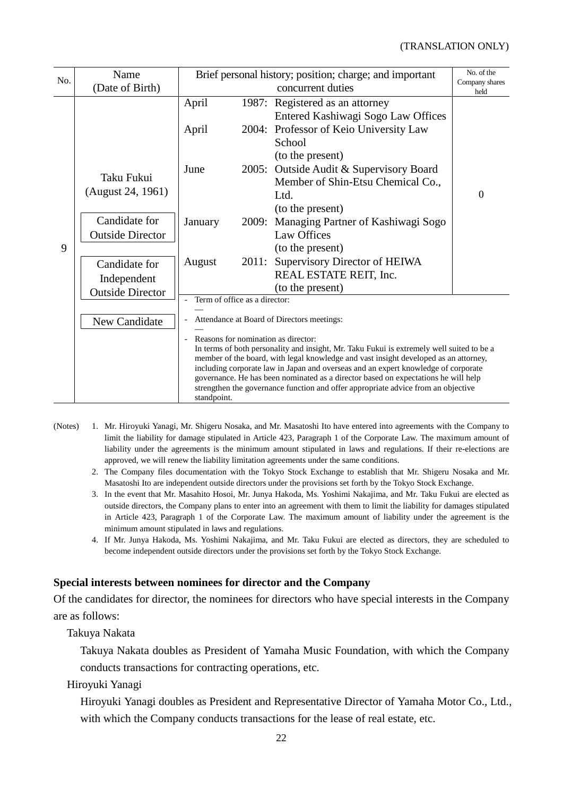| No. | Name                            | Brief personal history; position; charge; and important                                                                                                                    | No. of the                              |                        |  |  |  |
|-----|---------------------------------|----------------------------------------------------------------------------------------------------------------------------------------------------------------------------|-----------------------------------------|------------------------|--|--|--|
|     | (Date of Birth)                 |                                                                                                                                                                            | concurrent duties                       | Company shares<br>held |  |  |  |
| 9   |                                 | April                                                                                                                                                                      | 1987: Registered as an attorney         |                        |  |  |  |
|     |                                 |                                                                                                                                                                            | Entered Kashiwagi Sogo Law Offices      |                        |  |  |  |
|     |                                 | April                                                                                                                                                                      | 2004: Professor of Keio University Law  |                        |  |  |  |
|     |                                 |                                                                                                                                                                            | School                                  |                        |  |  |  |
|     |                                 |                                                                                                                                                                            | (to the present)                        |                        |  |  |  |
|     | Taku Fukui<br>(August 24, 1961) | June                                                                                                                                                                       | 2005: Outside Audit & Supervisory Board |                        |  |  |  |
|     |                                 |                                                                                                                                                                            | Member of Shin-Etsu Chemical Co.,       |                        |  |  |  |
|     |                                 |                                                                                                                                                                            | Ltd.                                    | $\overline{0}$         |  |  |  |
|     |                                 |                                                                                                                                                                            | (to the present)                        |                        |  |  |  |
|     | Candidate for                   | January<br>2009:                                                                                                                                                           | Managing Partner of Kashiwagi Sogo      |                        |  |  |  |
|     | <b>Outside Director</b>         |                                                                                                                                                                            | <b>Law Offices</b>                      |                        |  |  |  |
|     |                                 |                                                                                                                                                                            | (to the present)                        |                        |  |  |  |
|     | Candidate for                   | 2011:<br>August                                                                                                                                                            | Supervisory Director of HEIWA           |                        |  |  |  |
|     | Independent                     |                                                                                                                                                                            | REAL ESTATE REIT, Inc.                  |                        |  |  |  |
|     | <b>Outside Director</b>         |                                                                                                                                                                            | (to the present)                        |                        |  |  |  |
|     |                                 | Term of office as a director:                                                                                                                                              |                                         |                        |  |  |  |
|     | New Candidate                   | Attendance at Board of Directors meetings:<br>Reasons for nomination as director:                                                                                          |                                         |                        |  |  |  |
|     |                                 |                                                                                                                                                                            |                                         |                        |  |  |  |
|     |                                 | In terms of both personality and insight, Mr. Taku Fukui is extremely well suited to be a                                                                                  |                                         |                        |  |  |  |
|     |                                 | member of the board, with legal knowledge and vast insight developed as an attorney,<br>including corporate law in Japan and overseas and an expert knowledge of corporate |                                         |                        |  |  |  |
|     |                                 | governance. He has been nominated as a director based on expectations he will help                                                                                         |                                         |                        |  |  |  |
|     |                                 | strengthen the governance function and offer appropriate advice from an objective                                                                                          |                                         |                        |  |  |  |
|     |                                 | standpoint.                                                                                                                                                                |                                         |                        |  |  |  |

- (Notes) 1. Mr. Hiroyuki Yanagi, Mr. Shigeru Nosaka, and Mr. Masatoshi Ito have entered into agreements with the Company to limit the liability for damage stipulated in Article 423, Paragraph 1 of the Corporate Law. The maximum amount of liability under the agreements is the minimum amount stipulated in laws and regulations. If their re-elections are approved, we will renew the liability limitation agreements under the same conditions.
	- 2. The Company files documentation with the Tokyo Stock Exchange to establish that Mr. Shigeru Nosaka and Mr. Masatoshi Ito are independent outside directors under the provisions set forth by the Tokyo Stock Exchange.
	- 3. In the event that Mr. Masahito Hosoi, Mr. Junya Hakoda, Ms. Yoshimi Nakajima, and Mr. Taku Fukui are elected as outside directors, the Company plans to enter into an agreement with them to limit the liability for damages stipulated in Article 423, Paragraph 1 of the Corporate Law. The maximum amount of liability under the agreement is the minimum amount stipulated in laws and regulations.
	- 4. If Mr. Junya Hakoda, Ms. Yoshimi Nakajima, and Mr. Taku Fukui are elected as directors, they are scheduled to become independent outside directors under the provisions set forth by the Tokyo Stock Exchange.

## **Special interests between nominees for director and the Company**

Of the candidates for director, the nominees for directors who have special interests in the Company are as follows:

Takuya Nakata

Takuya Nakata doubles as President of Yamaha Music Foundation, with which the Company conducts transactions for contracting operations, etc.

Hiroyuki Yanagi

Hiroyuki Yanagi doubles as President and Representative Director of Yamaha Motor Co., Ltd., with which the Company conducts transactions for the lease of real estate, etc.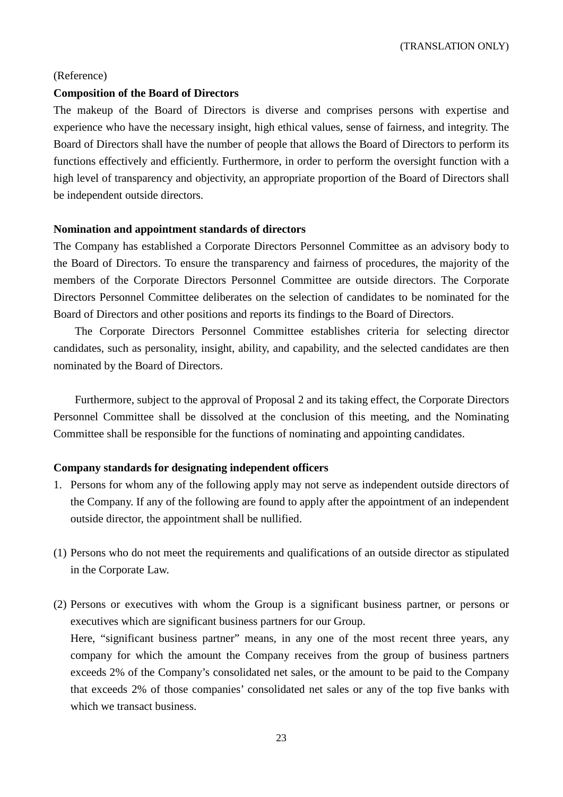#### (Reference)

### **Composition of the Board of Directors**

The makeup of the Board of Directors is diverse and comprises persons with expertise and experience who have the necessary insight, high ethical values, sense of fairness, and integrity. The Board of Directors shall have the number of people that allows the Board of Directors to perform its functions effectively and efficiently. Furthermore, in order to perform the oversight function with a high level of transparency and objectivity, an appropriate proportion of the Board of Directors shall be independent outside directors.

#### **Nomination and appointment standards of directors**

The Company has established a Corporate Directors Personnel Committee as an advisory body to the Board of Directors. To ensure the transparency and fairness of procedures, the majority of the members of the Corporate Directors Personnel Committee are outside directors. The Corporate Directors Personnel Committee deliberates on the selection of candidates to be nominated for the Board of Directors and other positions and reports its findings to the Board of Directors.

The Corporate Directors Personnel Committee establishes criteria for selecting director candidates, such as personality, insight, ability, and capability, and the selected candidates are then nominated by the Board of Directors.

Furthermore, subject to the approval of Proposal 2 and its taking effect, the Corporate Directors Personnel Committee shall be dissolved at the conclusion of this meeting, and the Nominating Committee shall be responsible for the functions of nominating and appointing candidates.

#### **Company standards for designating independent officers**

- 1. Persons for whom any of the following apply may not serve as independent outside directors of the Company. If any of the following are found to apply after the appointment of an independent outside director, the appointment shall be nullified.
- (1) Persons who do not meet the requirements and qualifications of an outside director as stipulated in the Corporate Law.
- (2) Persons or executives with whom the Group is a significant business partner, or persons or executives which are significant business partners for our Group. Here, "significant business partner" means, in any one of the most recent three years, any company for which the amount the Company receives from the group of business partners exceeds 2% of the Company's consolidated net sales, or the amount to be paid to the Company that exceeds 2% of those companies' consolidated net sales or any of the top five banks with which we transact business.